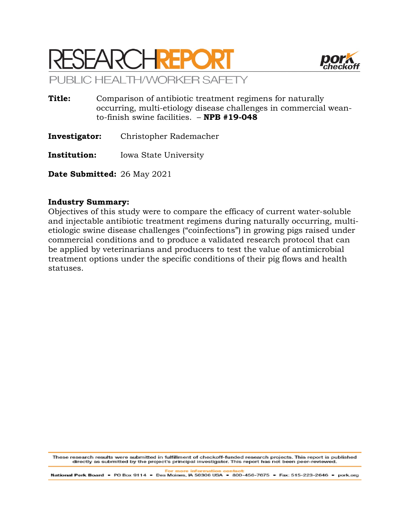



- **Title:** Comparison of antibiotic treatment regimens for naturally occurring, multi-etiology disease challenges in commercial weanto-finish swine facilities. – **NPB #19-048**
- **Investigator:** Christopher Rademacher
- **Institution:** Iowa State University

**Date Submitted:** 26 May 2021

### **Industry Summary:**

Objectives of this study were to compare the efficacy of current water-soluble and injectable antibiotic treatment regimens during naturally occurring, multietiologic swine disease challenges ("coinfections") in growing pigs raised under commercial conditions and to produce a validated research protocol that can be applied by veterinarians and producers to test the value of antimicrobial treatment options under the specific conditions of their pig flows and health statuses.

These research results were submitted in fulfillment of checkoff-funded research projects. This report is published<br>directly as submitted by the project's principal investigator. This report has not been peer-reviewed.

National Pork Board • PO Box 9114 • Des Moines, IA 50306 USA • 800-456-7675 • Fax: 515-223-2646 • pork.org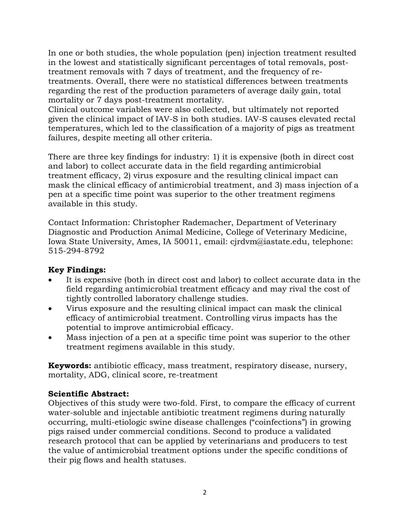In one or both studies, the whole population (pen) injection treatment resulted in the lowest and statistically significant percentages of total removals, posttreatment removals with 7 days of treatment, and the frequency of retreatments. Overall, there were no statistical differences between treatments regarding the rest of the production parameters of average daily gain, total mortality or 7 days post-treatment mortality.

Clinical outcome variables were also collected, but ultimately not reported given the clinical impact of IAV-S in both studies. IAV-S causes elevated rectal temperatures, which led to the classification of a majority of pigs as treatment failures, despite meeting all other criteria.

There are three key findings for industry: 1) it is expensive (both in direct cost and labor) to collect accurate data in the field regarding antimicrobial treatment efficacy, 2) virus exposure and the resulting clinical impact can mask the clinical efficacy of antimicrobial treatment, and 3) mass injection of a pen at a specific time point was superior to the other treatment regimens available in this study.

Contact Information: Christopher Rademacher, Department of Veterinary Diagnostic and Production Animal Medicine, College of Veterinary Medicine, Iowa State University, Ames, IA 50011, email: cjrdvm@iastate.edu, telephone: 515-294-8792

# **Key Findings:**

- It is expensive (both in direct cost and labor) to collect accurate data in the field regarding antimicrobial treatment efficacy and may rival the cost of tightly controlled laboratory challenge studies.
- Virus exposure and the resulting clinical impact can mask the clinical efficacy of antimicrobial treatment. Controlling virus impacts has the potential to improve antimicrobial efficacy.
- Mass injection of a pen at a specific time point was superior to the other treatment regimens available in this study.

**Keywords:** antibiotic efficacy, mass treatment, respiratory disease, nursery, mortality, ADG, clinical score, re-treatment

### **Scientific Abstract:**

Objectives of this study were two-fold. First, to compare the efficacy of current water-soluble and injectable antibiotic treatment regimens during naturally occurring, multi-etiologic swine disease challenges ("coinfections") in growing pigs raised under commercial conditions. Second to produce a validated research protocol that can be applied by veterinarians and producers to test the value of antimicrobial treatment options under the specific conditions of their pig flows and health statuses.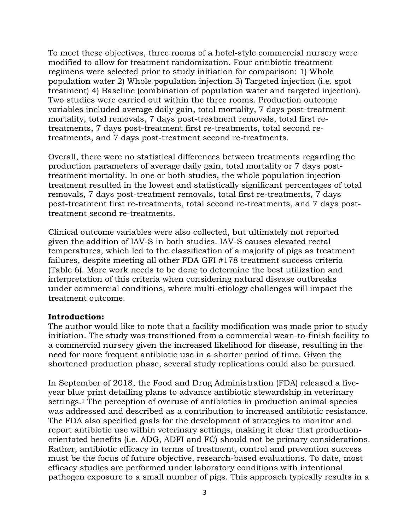To meet these objectives, three rooms of a hotel-style commercial nursery were modified to allow for treatment randomization. Four antibiotic treatment regimens were selected prior to study initiation for comparison: 1) Whole population water 2) Whole population injection 3) Targeted injection (i.e. spot treatment) 4) Baseline (combination of population water and targeted injection). Two studies were carried out within the three rooms. Production outcome variables included average daily gain, total mortality, 7 days post-treatment mortality, total removals, 7 days post-treatment removals, total first retreatments, 7 days post-treatment first re-treatments, total second retreatments, and 7 days post-treatment second re-treatments.

Overall, there were no statistical differences between treatments regarding the production parameters of average daily gain, total mortality or 7 days posttreatment mortality. In one or both studies, the whole population injection treatment resulted in the lowest and statistically significant percentages of total removals, 7 days post-treatment removals, total first re-treatments, 7 days post-treatment first re-treatments, total second re-treatments, and 7 days posttreatment second re-treatments.

Clinical outcome variables were also collected, but ultimately not reported given the addition of IAV-S in both studies. IAV-S causes elevated rectal temperatures, which led to the classification of a majority of pigs as treatment failures, despite meeting all other FDA GFI #178 treatment success criteria (Table 6). More work needs to be done to determine the best utilization and interpretation of this criteria when considering natural disease outbreaks under commercial conditions, where multi-etiology challenges will impact the treatment outcome.

#### **Introduction:**

The author would like to note that a facility modification was made prior to study initiation. The study was transitioned from a commercial wean-to-finish facility to a commercial nursery given the increased likelihood for disease, resulting in the need for more frequent antibiotic use in a shorter period of time. Given the shortened production phase, several study replications could also be pursued.

In September of 2018, the Food and Drug Administration (FDA) released a fiveyear blue print detailing plans to advance antibiotic stewardship in veterinary settings.1 The perception of overuse of antibiotics in production animal species was addressed and described as a contribution to increased antibiotic resistance. The FDA also specified goals for the development of strategies to monitor and report antibiotic use within veterinary settings, making it clear that productionorientated benefits (i.e. ADG, ADFI and FC) should not be primary considerations. Rather, antibiotic efficacy in terms of treatment, control and prevention success must be the focus of future objective, research-based evaluations. To date, most efficacy studies are performed under laboratory conditions with intentional pathogen exposure to a small number of pigs. This approach typically results in a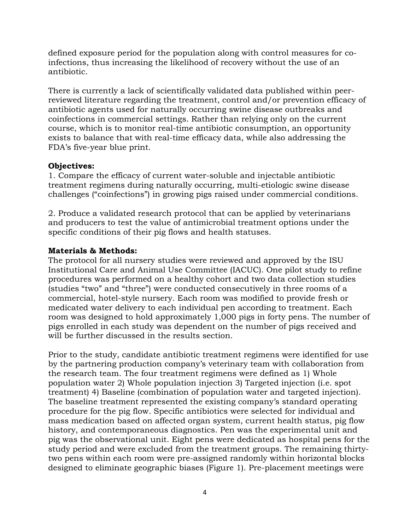defined exposure period for the population along with control measures for coinfections, thus increasing the likelihood of recovery without the use of an antibiotic.

There is currently a lack of scientifically validated data published within peerreviewed literature regarding the treatment, control and/or prevention efficacy of antibiotic agents used for naturally occurring swine disease outbreaks and coinfections in commercial settings. Rather than relying only on the current course, which is to monitor real-time antibiotic consumption, an opportunity exists to balance that with real-time efficacy data, while also addressing the FDA's five-year blue print.

### **Objectives:**

1. Compare the efficacy of current water-soluble and injectable antibiotic treatment regimens during naturally occurring, multi-etiologic swine disease challenges ("coinfections") in growing pigs raised under commercial conditions.

2. Produce a validated research protocol that can be applied by veterinarians and producers to test the value of antimicrobial treatment options under the specific conditions of their pig flows and health statuses.

# **Materials & Methods:**

The protocol for all nursery studies were reviewed and approved by the ISU Institutional Care and Animal Use Committee (IACUC). One pilot study to refine procedures was performed on a healthy cohort and two data collection studies (studies "two" and "three") were conducted consecutively in three rooms of a commercial, hotel-style nursery. Each room was modified to provide fresh or medicated water delivery to each individual pen according to treatment. Each room was designed to hold approximately 1,000 pigs in forty pens. The number of pigs enrolled in each study was dependent on the number of pigs received and will be further discussed in the results section.

Prior to the study, candidate antibiotic treatment regimens were identified for use by the partnering production company's veterinary team with collaboration from the research team. The four treatment regimens were defined as 1) Whole population water 2) Whole population injection 3) Targeted injection (i.e. spot treatment) 4) Baseline (combination of population water and targeted injection). The baseline treatment represented the existing company's standard operating procedure for the pig flow. Specific antibiotics were selected for individual and mass medication based on affected organ system, current health status, pig flow history, and contemporaneous diagnostics. Pen was the experimental unit and pig was the observational unit. Eight pens were dedicated as hospital pens for the study period and were excluded from the treatment groups. The remaining thirtytwo pens within each room were pre-assigned randomly within horizontal blocks designed to eliminate geographic biases (Figure 1). Pre-placement meetings were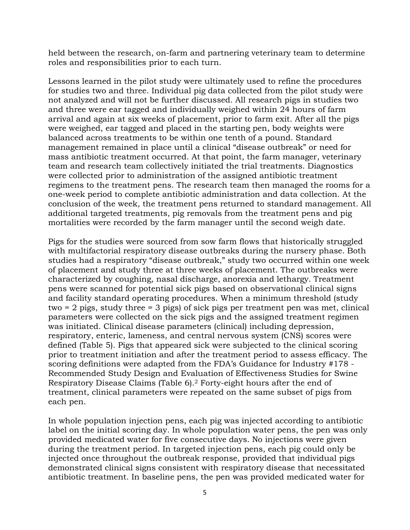held between the research, on-farm and partnering veterinary team to determine roles and responsibilities prior to each turn.

Lessons learned in the pilot study were ultimately used to refine the procedures for studies two and three. Individual pig data collected from the pilot study were not analyzed and will not be further discussed. All research pigs in studies two and three were ear tagged and individually weighed within 24 hours of farm arrival and again at six weeks of placement, prior to farm exit. After all the pigs were weighed, ear tagged and placed in the starting pen, body weights were balanced across treatments to be within one tenth of a pound. Standard management remained in place until a clinical "disease outbreak" or need for mass antibiotic treatment occurred. At that point, the farm manager, veterinary team and research team collectively initiated the trial treatments. Diagnostics were collected prior to administration of the assigned antibiotic treatment regimens to the treatment pens. The research team then managed the rooms for a one-week period to complete antibiotic administration and data collection. At the conclusion of the week, the treatment pens returned to standard management. All additional targeted treatments, pig removals from the treatment pens and pig mortalities were recorded by the farm manager until the second weigh date.

Pigs for the studies were sourced from sow farm flows that historically struggled with multifactorial respiratory disease outbreaks during the nursery phase. Both studies had a respiratory "disease outbreak," study two occurred within one week of placement and study three at three weeks of placement. The outbreaks were characterized by coughing, nasal discharge, anorexia and lethargy. Treatment pens were scanned for potential sick pigs based on observational clinical signs and facility standard operating procedures. When a minimum threshold (study two = 2 pigs, study three = 3 pigs) of sick pigs per treatment pen was met, clinical parameters were collected on the sick pigs and the assigned treatment regimen was initiated. Clinical disease parameters (clinical) including depression, respiratory, enteric, lameness, and central nervous system (CNS) scores were defined (Table 5). Pigs that appeared sick were subjected to the clinical scoring prior to treatment initiation and after the treatment period to assess efficacy. The scoring definitions were adapted from the FDA's Guidance for Industry #178 - Recommended Study Design and Evaluation of Effectiveness Studies for Swine Respiratory Disease Claims (Table 6).2 Forty-eight hours after the end of treatment, clinical parameters were repeated on the same subset of pigs from each pen.

In whole population injection pens, each pig was injected according to antibiotic label on the initial scoring day. In whole population water pens, the pen was only provided medicated water for five consecutive days. No injections were given during the treatment period. In targeted injection pens, each pig could only be injected once throughout the outbreak response, provided that individual pigs demonstrated clinical signs consistent with respiratory disease that necessitated antibiotic treatment. In baseline pens, the pen was provided medicated water for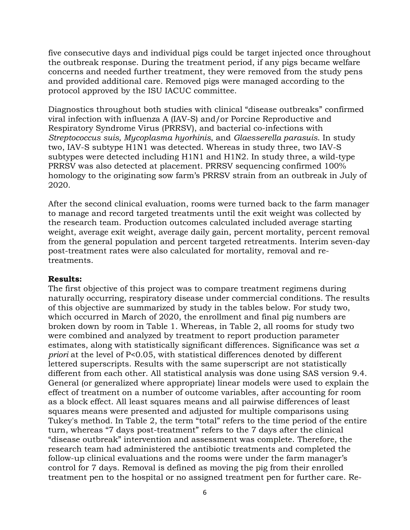five consecutive days and individual pigs could be target injected once throughout the outbreak response. During the treatment period, if any pigs became welfare concerns and needed further treatment, they were removed from the study pens and provided additional care. Removed pigs were managed according to the protocol approved by the ISU IACUC committee.

Diagnostics throughout both studies with clinical "disease outbreaks" confirmed viral infection with influenza A (IAV-S) and/or Porcine Reproductive and Respiratory Syndrome Virus (PRRSV), and bacterial co-infections with *Streptococcus suis, Mycoplasma hyorhinis*, and *Glaesserella parasuis*. In study two, IAV-S subtype H1N1 was detected. Whereas in study three, two IAV-S subtypes were detected including H1N1 and H1N2. In study three, a wild-type PRRSV was also detected at placement. PRRSV sequencing confirmed 100% homology to the originating sow farm's PRRSV strain from an outbreak in July of 2020.

After the second clinical evaluation, rooms were turned back to the farm manager to manage and record targeted treatments until the exit weight was collected by the research team. Production outcomes calculated included average starting weight, average exit weight, average daily gain, percent mortality, percent removal from the general population and percent targeted retreatments. Interim seven-day post-treatment rates were also calculated for mortality, removal and retreatments.

#### **Results:**

The first objective of this project was to compare treatment regimens during naturally occurring, respiratory disease under commercial conditions. The results of this objective are summarized by study in the tables below. For study two, which occurred in March of 2020, the enrollment and final pig numbers are broken down by room in Table 1. Whereas, in Table 2, all rooms for study two were combined and analyzed by treatment to report production parameter estimates, along with statistically significant differences. Significance was set *a priori* at the level of P<0.05, with statistical differences denoted by different lettered superscripts. Results with the same superscript are not statistically different from each other. All statistical analysis was done using SAS version 9.4. General (or generalized where appropriate) linear models were used to explain the effect of treatment on a number of outcome variables, after accounting for room as a block effect. All least squares means and all pairwise differences of least squares means were presented and adjusted for multiple comparisons using Tukey's method. In Table 2, the term "total" refers to the time period of the entire turn, whereas "7 days post-treatment" refers to the 7 days after the clinical "disease outbreak" intervention and assessment was complete. Therefore, the research team had administered the antibiotic treatments and completed the follow-up clinical evaluations and the rooms were under the farm manager's control for 7 days. Removal is defined as moving the pig from their enrolled treatment pen to the hospital or no assigned treatment pen for further care. Re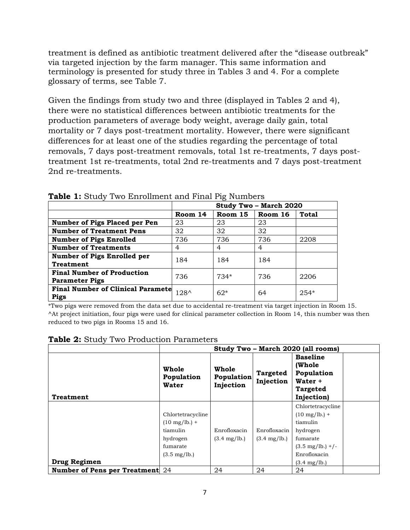treatment is defined as antibiotic treatment delivered after the "disease outbreak" via targeted injection by the farm manager. This same information and terminology is presented for study three in Tables 3 and 4. For a complete glossary of terms, see Table 7.

Given the findings from study two and three (displayed in Tables 2 and 4), there were no statistical differences between antibiotic treatments for the production parameters of average body weight, average daily gain, total mortality or 7 days post-treatment mortality. However, there were significant differences for at least one of the studies regarding the percentage of total removals, 7 days post-treatment removals, total 1st re-treatments, 7 days posttreatment 1st re-treatments, total 2nd re-treatments and 7 days post-treatment 2nd re-treatments.

|                                          | Study Two - March 2020 |         |         |              |
|------------------------------------------|------------------------|---------|---------|--------------|
|                                          | Room 14                | Room 15 | Room 16 | <b>Total</b> |
| <b>Number of Pigs Placed per Pen</b>     | 23                     | 23      | 23      |              |
| <b>Number of Treatment Pens</b>          | 32                     | 32      | 32      |              |
| <b>Number of Pigs Enrolled</b>           | 736                    | 736     | 736     | 2208         |
| <b>Number of Treatments</b>              | $\overline{4}$         | 4       | 4       |              |
| <b>Number of Pigs Enrolled per</b>       | 184                    | 184     | 184     |              |
| <b>Treatment</b>                         |                        |         |         |              |
| <b>Final Number of Production</b>        | 736                    | $734*$  | 736     | 2206         |
| <b>Parameter Pigs</b>                    |                        |         |         |              |
| <b>Final Number of Clinical Paramete</b> | $128^{\circ}$          | $62*$   | 64      | $254*$       |
| <b>Pigs</b>                              |                        |         |         |              |

**Table 1:** Study Two Enrollment and Final Pig Numbers

\*Two pigs were removed from the data set due to accidental re-treatment via target injection in Room 15. ^At project initiation, four pigs were used for clinical parameter collection in Room 14, this number was then reduced to two pigs in Rooms 15 and 16.

|                                        |                              | Study Two - March 2020 (all rooms) |                              |                                                                                     |  |  |
|----------------------------------------|------------------------------|------------------------------------|------------------------------|-------------------------------------------------------------------------------------|--|--|
| <b>Treatment</b>                       | Whole<br>Population<br>Water | Whole<br>Population<br>Injection   | <b>Targeted</b><br>Injection | <b>Baseline</b><br>(Whole<br>Population<br>Water +<br><b>Targeted</b><br>Injection) |  |  |
|                                        |                              |                                    |                              | Chlortetracycline                                                                   |  |  |
|                                        | Chlortetracycline            |                                    |                              | $(10 \text{ mg/lb.}) +$                                                             |  |  |
|                                        | $(10 \text{ mg/lb.}) +$      |                                    |                              | tiamulin                                                                            |  |  |
|                                        | tiamulin                     | Enrofloxacin                       | Enrofloxacin                 | hydrogen                                                                            |  |  |
|                                        | hydrogen                     | $(3.4 \text{ mg/lb.})$             | $(3.4 \text{ mg/lb.})$       | fumarate                                                                            |  |  |
|                                        | fumarate                     |                                    |                              | $(3.5 \text{ mg/lb.}) + /-$                                                         |  |  |
|                                        | $(3.5 \text{ mg/lb.})$       |                                    |                              | Enrofloxacin                                                                        |  |  |
| Drug Regimen                           |                              |                                    |                              | $(3.4 \text{ mg/lb.})$                                                              |  |  |
| <b>Number of Pens per Treatment</b> 24 |                              | 24                                 | 24                           | 24                                                                                  |  |  |

**Table 2:** Study Two Production Parameters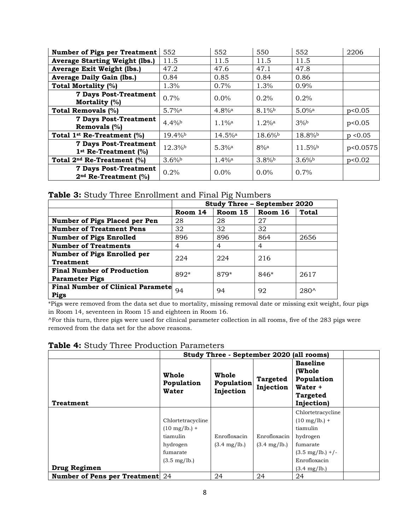| <b>Number of Pigs per Treatment</b>                              | 552                 | 552                   | 550                  | 552                  | 2206     |
|------------------------------------------------------------------|---------------------|-----------------------|----------------------|----------------------|----------|
| <b>Average Starting Weight (lbs.)</b>                            | 11.5                | 11.5                  | 11.5                 | 11.5                 |          |
| Average Exit Weight (lbs.)                                       | 47.2                | 47.6                  | 47.1                 | 47.8                 |          |
| <b>Average Daily Gain (lbs.)</b>                                 | 0.84                | 0.85                  | 0.84                 | 0.86                 |          |
| Total Mortality (%)                                              | 1.3%                | 0.7%                  | 1.3%                 | 0.9%                 |          |
| <b>7 Days Post-Treatment</b><br>Mortality (%)                    | 0.7%                | $0.0\%$               | 0.2%                 | 0.2%                 |          |
| <b>Total Removals (%)</b>                                        | $5.7%$ <sup>a</sup> | $4.8\%$ <sup>a</sup>  | 8.1%b                | $5.0\%$ <sup>a</sup> | p<0.05   |
| <b>7 Days Post-Treatment</b><br>Removals (%)                     | 4.4%                | $1.1\%$ <sup>a</sup>  | $1.2\%$ <sup>a</sup> | 3%                   | p<0.05   |
| Total 1 <sup>st</sup> Re-Treatment (%)                           | 19.4%b              | $14.5\%$ <sup>a</sup> | $18.6\%$             | 18.8%b               | p < 0.05 |
| <b>7 Days Post-Treatment</b><br>$1st$ Re-Treatment (%)           | 12.3%               | $5.3%$ <sup>a</sup>   | $8%$ <sup>a</sup>    | $11.5\%$             | p<0.0575 |
| Total 2 <sup>nd</sup> Re-Treatment (%)                           | $3.6\%$             | $1.4\%$ <sup>a</sup>  | $3.8\%$              | $3.6\%$              | p<0.02   |
| <b>7 Days Post-Treatment</b><br>2 <sup>nd</sup> Re-Treatment (%) | 0.2%                | $0.0\%$               | $0.0\%$              | 0.7%                 |          |

**Table 3:** Study Three Enrollment and Final Pig Numbers

|                                          | Study Three - September 2020 |         |         |               |
|------------------------------------------|------------------------------|---------|---------|---------------|
|                                          | Room 14                      | Room 15 | Room 16 | <b>Total</b>  |
| Number of Pigs Placed per Pen            | 28                           | 28      | 27      |               |
| <b>Number of Treatment Pens</b>          | 32                           | 32      | 32      |               |
| <b>Number of Pigs Enrolled</b>           | 896                          | 896     | 864     | 2656          |
| <b>Number of Treatments</b>              | 4                            | 4       | 4       |               |
| <b>Number of Pigs Enrolled per</b>       | 224                          | 224     | 216     |               |
| <b>Treatment</b>                         |                              |         |         |               |
| <b>Final Number of Production</b>        | 892*                         | 879*    | 846*    | 2617          |
| <b>Parameter Pigs</b>                    |                              |         |         |               |
| <b>Final Number of Clinical Paramete</b> | 94                           | 94      | 92      | $280^{\circ}$ |
| Pigs                                     |                              |         |         |               |

\*Pigs were removed from the data set due to mortality, missing removal date or missing exit weight, four pigs in Room 14, seventeen in Room 15 and eighteen in Room 16.

^For this turn, three pigs were used for clinical parameter collection in all rooms, five of the 283 pigs were removed from the data set for the above reasons.

| <b>Tuble</b> II Diddy Three Froudellon Farameters |                                     |                                          |                              |                                                                                     |  |  |
|---------------------------------------------------|-------------------------------------|------------------------------------------|------------------------------|-------------------------------------------------------------------------------------|--|--|
|                                                   |                                     | Study Three - September 2020 (all rooms) |                              |                                                                                     |  |  |
| <b>Treatment</b>                                  | Whole<br>Population<br><b>Water</b> | Whole<br>Population<br>Injection         | <b>Targeted</b><br>Injection | <b>Baseline</b><br>(Whole<br>Population<br>Water +<br><b>Targeted</b><br>Injection) |  |  |
|                                                   |                                     |                                          |                              | Chlortetracycline                                                                   |  |  |
|                                                   | Chlortetracycline                   |                                          |                              | $(10 \text{ mg/lb.}) +$                                                             |  |  |
|                                                   | $(10 \text{ mg/lb.}) +$             |                                          |                              | tiamulin                                                                            |  |  |
|                                                   | tiamulin                            | Enrofloxacin                             | Enrofloxacin                 | hydrogen                                                                            |  |  |
|                                                   | hydrogen                            | $(3.4 \text{ mg/lb.})$                   | $(3.4 \text{ mg/lb.})$       | fumarate                                                                            |  |  |
|                                                   | fumarate                            |                                          |                              | $(3.5 \text{ mg/lb.}) + /-$                                                         |  |  |
|                                                   | $(3.5 \text{ mg/lb.})$              |                                          |                              | Enrofloxacin                                                                        |  |  |
| Drug Regimen                                      |                                     |                                          |                              | $(3.4 \text{ mg/lb.})$                                                              |  |  |
| <b>Number of Pens per Treatment</b> 24            |                                     | 24                                       | 24                           | 24                                                                                  |  |  |

**Table 4:** Study Three Production Parameters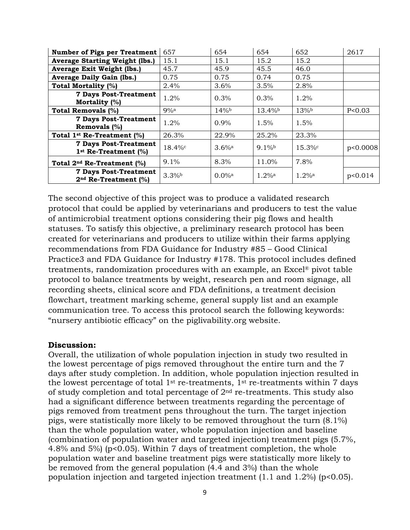| <b>Number of Pigs per Treatment</b>                              | 657               | 654                  | 654                  | 652                 | 2617     |
|------------------------------------------------------------------|-------------------|----------------------|----------------------|---------------------|----------|
| <b>Average Starting Weight (lbs.)</b>                            | 15.1              | 15.1                 | 15.2                 | 15.2                |          |
| Average Exit Weight (lbs.)                                       | 45.7              | 45.9                 | 45.5                 | 46.0                |          |
| <b>Average Daily Gain (lbs.)</b>                                 | 0.75              | 0.75                 | 0.74                 | 0.75                |          |
| <b>Total Mortality (%)</b>                                       | 2.4%              | 3.6%                 | 3.5%                 | 2.8%                |          |
| <b>7 Days Post-Treatment</b><br>Mortality (%)                    | 1.2%              | 0.3%                 | $0.3\%$              | $1.2\%$             |          |
| Total Removals (%)                                               | $9%$ <sup>a</sup> | $14\%$               | 13.4%b               | 13%b                | P<0.03   |
| <b>7 Days Post-Treatment</b><br>Removals $(\%)$                  | 1.2%              | $0.9\%$              | 1.5%                 | 1.5%                |          |
| Total 1 <sup>st</sup> Re-Treatment (%)                           | 26.3%             | 22.9%                | 25.2%                | 23.3%               |          |
| <b>7 Days Post-Treatment</b><br>$1st$ Re-Treatment (%)           | $18.4\%$          | $3.6%$ <sup>a</sup>  | $9.1\%$              | 15.3%c              | p<0.0008 |
| Total 2 <sup>nd</sup> Re-Treatment (%)                           | 9.1%              | 8.3%                 | 11.0%                | 7.8%                |          |
| <b>7 Days Post-Treatment</b><br>2 <sup>nd</sup> Re-Treatment (%) | 3.3%              | $0.0\%$ <sup>a</sup> | $1.2\%$ <sup>a</sup> | $1.2%$ <sup>a</sup> | p<0.014  |

The second objective of this project was to produce a validated research protocol that could be applied by veterinarians and producers to test the value of antimicrobial treatment options considering their pig flows and health statuses. To satisfy this objective, a preliminary research protocol has been created for veterinarians and producers to utilize within their farms applying recommendations from FDA Guidance for Industry #85 – Good Clinical Practice3 and FDA Guidance for Industry #178. This protocol includes defined treatments, randomization procedures with an example, an Excel® pivot table protocol to balance treatments by weight, research pen and room signage, all recording sheets, clinical score and FDA definitions, a treatment decision flowchart, treatment marking scheme, general supply list and an example communication tree. To access this protocol search the following keywords: "nursery antibiotic efficacy" on the piglivability.org website.

#### **Discussion:**

Overall, the utilization of whole population injection in study two resulted in the lowest percentage of pigs removed throughout the entire turn and the 7 days after study completion. In addition, whole population injection resulted in the lowest percentage of total  $1^{st}$  re-treatments,  $1^{st}$  re-treatments within 7 days of study completion and total percentage of  $2<sup>nd</sup>$  re-treatments. This study also had a significant difference between treatments regarding the percentage of pigs removed from treatment pens throughout the turn. The target injection pigs, were statistically more likely to be removed throughout the turn (8.1%) than the whole population water, whole population injection and baseline (combination of population water and targeted injection) treatment pigs (5.7%, 4.8% and 5%) (p<0.05). Within 7 days of treatment completion, the whole population water and baseline treatment pigs were statistically more likely to be removed from the general population (4.4 and 3%) than the whole population injection and targeted injection treatment  $(1.1 \text{ and } 1.2\%)$  (p<0.05).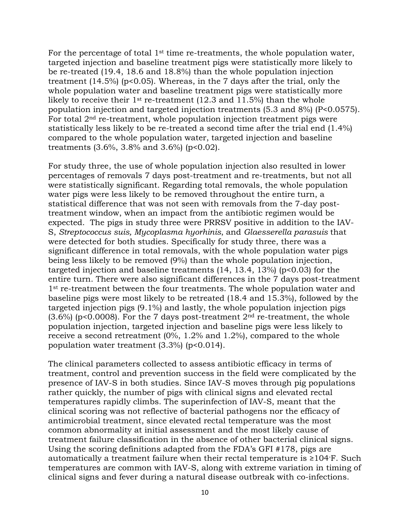For the percentage of total 1<sup>st</sup> time re-treatments, the whole population water, targeted injection and baseline treatment pigs were statistically more likely to be re-treated (19.4, 18.6 and 18.8%) than the whole population injection treatment  $(14.5\%)$  (p<0.05). Whereas, in the 7 days after the trial, only the whole population water and baseline treatment pigs were statistically more likely to receive their 1st re-treatment (12.3 and 11.5%) than the whole population injection and targeted injection treatments (5.3 and 8%) (P<0.0575). For total 2nd re-treatment, whole population injection treatment pigs were statistically less likely to be re-treated a second time after the trial end (1.4%) compared to the whole population water, targeted injection and baseline treatments  $(3.6\%, 3.8\% \text{ and } 3.6\%)$  (p<0.02).

For study three, the use of whole population injection also resulted in lower percentages of removals 7 days post-treatment and re-treatments, but not all were statistically significant. Regarding total removals, the whole population water pigs were less likely to be removed throughout the entire turn, a statistical difference that was not seen with removals from the 7-day posttreatment window, when an impact from the antibiotic regimen would be expected. The pigs in study three were PRRSV positive in addition to the IAV-S, *Streptococcus suis, Mycoplasma hyorhinis*, and *Glaesserella parasuis* that were detected for both studies. Specifically for study three, there was a significant difference in total removals, with the whole population water pigs being less likely to be removed (9%) than the whole population injection, targeted injection and baseline treatments (14, 13.4, 13%) (p<0.03) for the entire turn. There were also significant differences in the 7 days post-treatment 1<sup>st</sup> re-treatment between the four treatments. The whole population water and baseline pigs were most likely to be retreated (18.4 and 15.3%), followed by the targeted injection pigs (9.1%) and lastly, the whole population injection pigs  $(3.6\%)$  (p<0.0008). For the 7 days post-treatment  $2<sup>nd</sup>$  re-treatment, the whole population injection, targeted injection and baseline pigs were less likely to receive a second retreatment (0%, 1.2% and 1.2%), compared to the whole population water treatment (3.3%) (p<0.014).

The clinical parameters collected to assess antibiotic efficacy in terms of treatment, control and prevention success in the field were complicated by the presence of IAV-S in both studies. Since IAV-S moves through pig populations rather quickly, the number of pigs with clinical signs and elevated rectal temperatures rapidly climbs. The superinfection of IAV-S, meant that the clinical scoring was not reflective of bacterial pathogens nor the efficacy of antimicrobial treatment, since elevated rectal temperature was the most common abnormality at initial assessment and the most likely cause of treatment failure classification in the absence of other bacterial clinical signs. Using the scoring definitions adapted from the FDA's GFI #178, pigs are automatically a treatment failure when their rectal temperature is ≥104◦ F. Such temperatures are common with IAV-S, along with extreme variation in timing of clinical signs and fever during a natural disease outbreak with co-infections.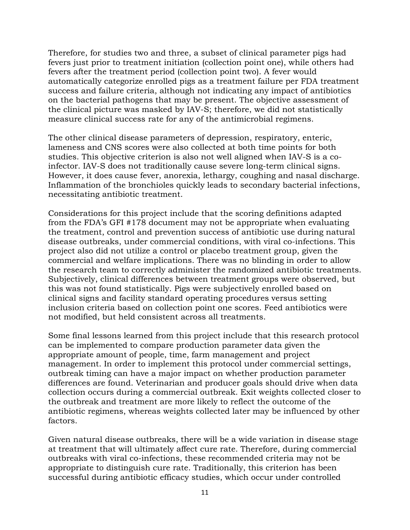Therefore, for studies two and three, a subset of clinical parameter pigs had fevers just prior to treatment initiation (collection point one), while others had fevers after the treatment period (collection point two). A fever would automatically categorize enrolled pigs as a treatment failure per FDA treatment success and failure criteria, although not indicating any impact of antibiotics on the bacterial pathogens that may be present. The objective assessment of the clinical picture was masked by IAV-S; therefore, we did not statistically measure clinical success rate for any of the antimicrobial regimens.

The other clinical disease parameters of depression, respiratory, enteric, lameness and CNS scores were also collected at both time points for both studies. This objective criterion is also not well aligned when IAV-S is a coinfector. IAV-S does not traditionally cause severe long-term clinical signs. However, it does cause fever, anorexia, lethargy, coughing and nasal discharge. Inflammation of the bronchioles quickly leads to secondary bacterial infections, necessitating antibiotic treatment.

Considerations for this project include that the scoring definitions adapted from the FDA's GFI #178 document may not be appropriate when evaluating the treatment, control and prevention success of antibiotic use during natural disease outbreaks, under commercial conditions, with viral co-infections. This project also did not utilize a control or placebo treatment group, given the commercial and welfare implications. There was no blinding in order to allow the research team to correctly administer the randomized antibiotic treatments. Subjectively, clinical differences between treatment groups were observed, but this was not found statistically. Pigs were subjectively enrolled based on clinical signs and facility standard operating procedures versus setting inclusion criteria based on collection point one scores. Feed antibiotics were not modified, but held consistent across all treatments.

Some final lessons learned from this project include that this research protocol can be implemented to compare production parameter data given the appropriate amount of people, time, farm management and project management. In order to implement this protocol under commercial settings, outbreak timing can have a major impact on whether production parameter differences are found. Veterinarian and producer goals should drive when data collection occurs during a commercial outbreak. Exit weights collected closer to the outbreak and treatment are more likely to reflect the outcome of the antibiotic regimens, whereas weights collected later may be influenced by other factors.

Given natural disease outbreaks, there will be a wide variation in disease stage at treatment that will ultimately affect cure rate. Therefore, during commercial outbreaks with viral co-infections, these recommended criteria may not be appropriate to distinguish cure rate. Traditionally, this criterion has been successful during antibiotic efficacy studies, which occur under controlled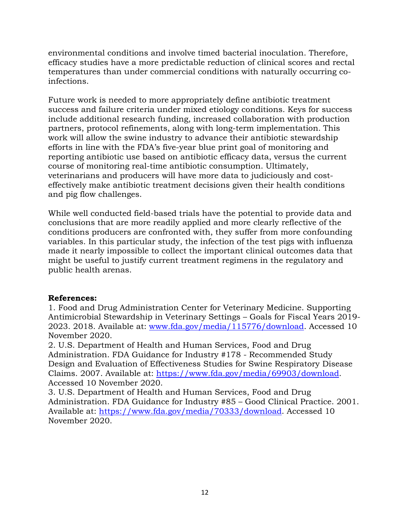environmental conditions and involve timed bacterial inoculation. Therefore, efficacy studies have a more predictable reduction of clinical scores and rectal temperatures than under commercial conditions with naturally occurring coinfections.

Future work is needed to more appropriately define antibiotic treatment success and failure criteria under mixed etiology conditions. Keys for success include additional research funding, increased collaboration with production partners, protocol refinements, along with long-term implementation. This work will allow the swine industry to advance their antibiotic stewardship efforts in line with the FDA's five-year blue print goal of monitoring and reporting antibiotic use based on antibiotic efficacy data, versus the current course of monitoring real-time antibiotic consumption. Ultimately, veterinarians and producers will have more data to judiciously and costeffectively make antibiotic treatment decisions given their health conditions and pig flow challenges.

While well conducted field-based trials have the potential to provide data and conclusions that are more readily applied and more clearly reflective of the conditions producers are confronted with, they suffer from more confounding variables. In this particular study, the infection of the test pigs with influenza made it nearly impossible to collect the important clinical outcomes data that might be useful to justify current treatment regimens in the regulatory and public health arenas.

# **References:**

1. Food and Drug Administration Center for Veterinary Medicine. Supporting Antimicrobial Stewardship in Veterinary Settings – Goals for Fiscal Years 2019- 2023. 2018. Available at: [www.fda.gov/media/115776/download.](http://www.fda.gov/media/115776/download) Accessed 10 November 2020.

2. U.S. Department of Health and Human Services, Food and Drug Administration. FDA Guidance for Industry #178 - Recommended Study Design and Evaluation of Effectiveness Studies for Swine Respiratory Disease Claims. 2007. Available at: [https://www.fda.gov/media/69903/download.](https://www.fda.gov/media/69903/download) Accessed 10 November 2020.

3. U.S. Department of Health and Human Services, Food and Drug Administration. FDA Guidance for Industry #85 – Good Clinical Practice. 2001. Available at: [https://www.fda.gov/media/70333/download.](https://www.fda.gov/media/70333/download) Accessed 10 November 2020.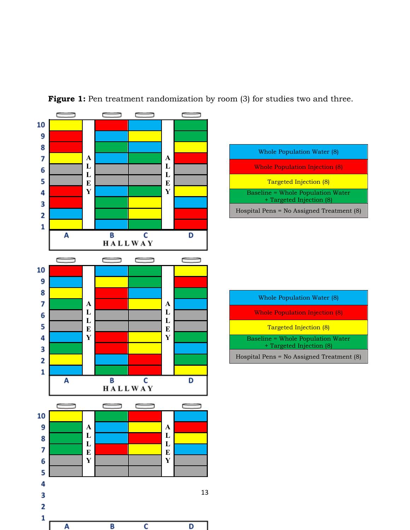

C

A

D

**Figure 1:** Pen treatment randomization by room (3) for studies two and three.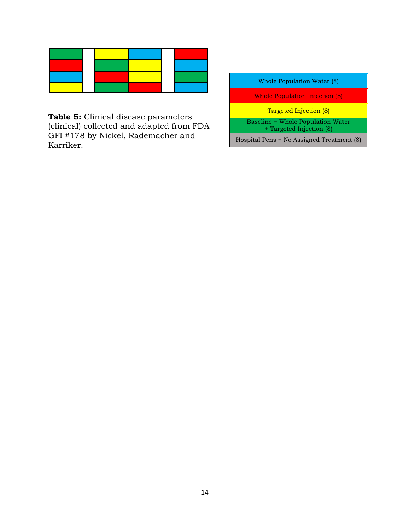**Table 5:** Clinical disease parameters (clinical) collected and adapted from FDA GFI #178 by Nickel, Rademacher and Karriker.

| Whole Population Water (8) |  |
|----------------------------|--|
|----------------------------|--|

Whole Population Injection (8)

Targeted Injection (8)

Baseline = Whole Population Water + Targeted Injection (8)

Hospital Pens = No Assigned Treatment (8)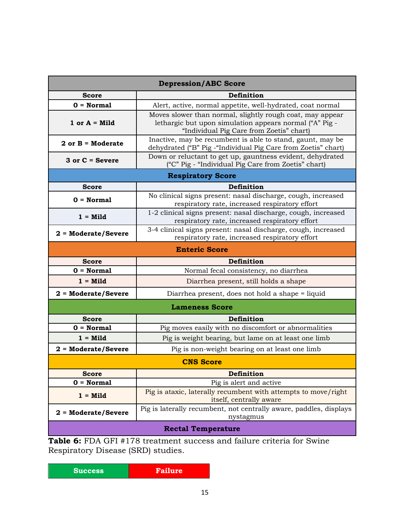|                             | <b>Depression/ABC Score</b>                                                                                                                                      |  |  |  |
|-----------------------------|------------------------------------------------------------------------------------------------------------------------------------------------------------------|--|--|--|
| <b>Score</b>                | Definition                                                                                                                                                       |  |  |  |
| $0 = Normal$                | Alert, active, normal appetite, well-hydrated, coat normal                                                                                                       |  |  |  |
| 1 or $A =$ Mild             | Moves slower than normal, slightly rough coat, may appear<br>lethargic but upon simulation appears normal ("A" Pig -<br>"Individual Pig Care from Zoetis" chart) |  |  |  |
| $2$ or $B =$ Moderate       | Inactive, may be recumbent is able to stand, gaunt, may be<br>dehydrated ("B" Pig - "Individual Pig Care from Zoetis" chart)                                     |  |  |  |
| $3$ or $C =$ Severe         | Down or reluctant to get up, gauntness evident, dehydrated<br>("C" Pig - "Individual Pig Care from Zoetis" chart)                                                |  |  |  |
|                             | <b>Respiratory Score</b>                                                                                                                                         |  |  |  |
| <b>Score</b>                | Definition                                                                                                                                                       |  |  |  |
| $0 = Normal$                | No clinical signs present: nasal discharge, cough, increased<br>respiratory rate, increased respiratory effort                                                   |  |  |  |
| $1 =$ Mild                  | 1-2 clinical signs present: nasal discharge, cough, increased<br>respiratory rate, increased respiratory effort                                                  |  |  |  |
| $2 = \text{Modern}$ /Severe | 3-4 clinical signs present: nasal discharge, cough, increased<br>respiratory rate, increased respiratory effort                                                  |  |  |  |
| <b>Enteric Score</b>        |                                                                                                                                                                  |  |  |  |
| <b>Score</b>                | Definition                                                                                                                                                       |  |  |  |
| $0 = Normal$                | Normal fecal consistency, no diarrhea                                                                                                                            |  |  |  |
| $1 =$ Mild                  | Diarrhea present, still holds a shape                                                                                                                            |  |  |  |
| $2 = \text{Modern}$ /Severe | Diarrhea present, does not hold a shape = liquid                                                                                                                 |  |  |  |
|                             | <b>Lameness Score</b>                                                                                                                                            |  |  |  |
| <b>Score</b>                | Definition                                                                                                                                                       |  |  |  |
| $0 = Normal$                | Pig moves easily with no discomfort or abnormalities                                                                                                             |  |  |  |
| $1 =$ Mild                  | Pig is weight bearing, but lame on at least one limb                                                                                                             |  |  |  |
| $2 = \text{Modern}$ /Severe | Pig is non-weight bearing on at least one limb                                                                                                                   |  |  |  |
|                             | <b>CNS Score</b>                                                                                                                                                 |  |  |  |
| <b>Score</b>                | Definition                                                                                                                                                       |  |  |  |
| $0 = Normal$                | Pig is alert and active                                                                                                                                          |  |  |  |
| $1 = Mid$                   | Pig is ataxic, laterally recumbent with attempts to move/right<br>itself, centrally aware                                                                        |  |  |  |
| $2 = \text{Modern}$ /Severe | Pig is laterally recumbent, not centrally aware, paddles, displays<br>nystagmus                                                                                  |  |  |  |
| <b>Rectal Temperature</b>   |                                                                                                                                                                  |  |  |  |

**Table 6:** FDA GFI #178 treatment success and failure criteria for Swine Respiratory Disease (SRD) studies.

| Failure |
|---------|
|         |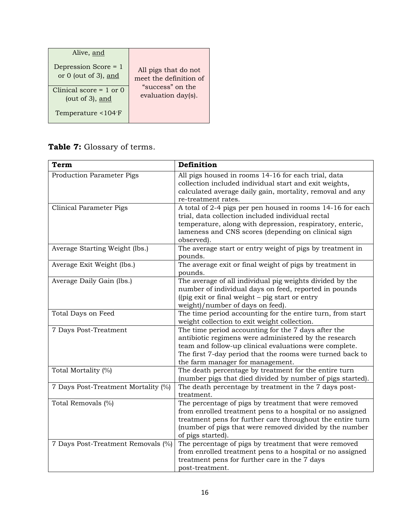| Alive, and                                                                               | All pigs that do not   |
|------------------------------------------------------------------------------------------|------------------------|
| Depression Score = 1                                                                     | meet the definition of |
| or $0$ (out of 3), and                                                                   | "success" on the       |
| Clinical score $= 1$ or 0<br>(out of $3$ ), and<br>Temperature $\leq 104$ <sup>°</sup> F | evaluation day(s).     |

# **Table 7:** Glossary of terms.

| <b>Term</b>                         | Definition                                                                                                                                                                                                                                                              |
|-------------------------------------|-------------------------------------------------------------------------------------------------------------------------------------------------------------------------------------------------------------------------------------------------------------------------|
| <b>Production Parameter Pigs</b>    | All pigs housed in rooms 14-16 for each trial, data<br>collection included individual start and exit weights,<br>calculated average daily gain, mortality, removal and any<br>re-treatment rates.                                                                       |
| <b>Clinical Parameter Pigs</b>      | A total of 2-4 pigs per pen housed in rooms 14-16 for each<br>trial, data collection included individual rectal<br>temperature, along with depression, respiratory, enteric,<br>lameness and CNS scores (depending on clinical sign<br>observed).                       |
| Average Starting Weight (lbs.)      | The average start or entry weight of pigs by treatment in<br>pounds.                                                                                                                                                                                                    |
| Average Exit Weight (lbs.)          | The average exit or final weight of pigs by treatment in<br>pounds.                                                                                                                                                                                                     |
| Average Daily Gain (lbs.)           | The average of all individual pig weights divided by the<br>number of individual days on feed, reported in pounds<br>((pig exit or final weight - pig start or entry<br>weight)/number of days on feed).                                                                |
| Total Days on Feed                  | The time period accounting for the entire turn, from start<br>weight collection to exit weight collection.                                                                                                                                                              |
| 7 Days Post-Treatment               | The time period accounting for the 7 days after the<br>antibiotic regimens were administered by the research<br>team and follow-up clinical evaluations were complete.<br>The first 7-day period that the rooms were turned back to<br>the farm manager for management. |
| Total Mortality (%)                 | The death percentage by treatment for the entire turn<br>(number pigs that died divided by number of pigs started).                                                                                                                                                     |
| 7 Days Post-Treatment Mortality (%) | The death percentage by treatment in the 7 days post-<br>treatment.                                                                                                                                                                                                     |
| Total Removals (%)                  | The percentage of pigs by treatment that were removed<br>from enrolled treatment pens to a hospital or no assigned<br>treatment pens for further care throughout the entire turn<br>(number of pigs that were removed divided by the number<br>of pigs started).        |
| 7 Days Post-Treatment Removals (%)  | The percentage of pigs by treatment that were removed<br>from enrolled treatment pens to a hospital or no assigned<br>treatment pens for further care in the 7 days<br>post-treatment.                                                                                  |